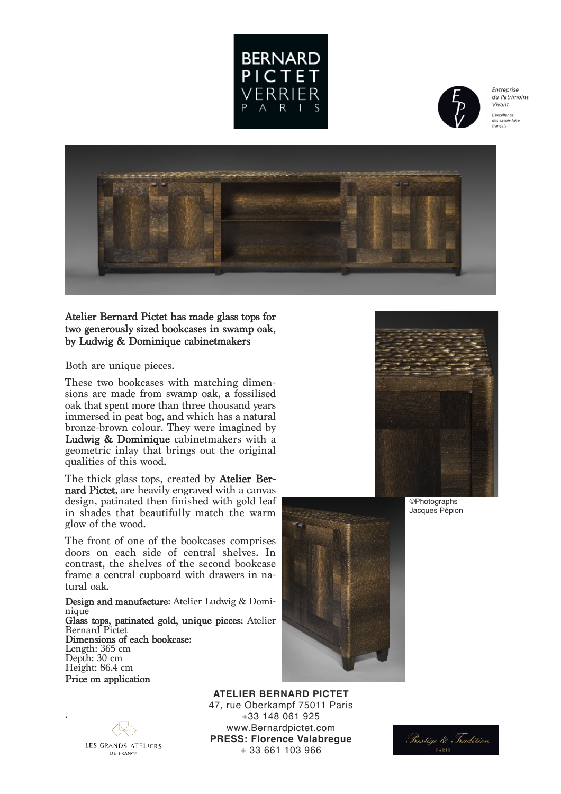



Entreprise  $du$  Patrimoine Vivant L'excellence des savoir-faire francais



## Atelier Bernard Pictet has made glass tops for two generously sized bookcases in swamp oak, by Ludwig & Dominique cabinetmakers

Both are unique pieces.

These two bookcases with matching dimensions are made from swamp oak, a fossilised oak that spent more than three thousand years immersed in peat bog, and which has a natural bronze-brown colour. They were imagined by Ludwig & Dominique cabinetmakers with a geometric inlay that brings out the original qualities of this wood.

The thick glass tops, created by **Atelier Ber-** nard Pictet, are heavily engraved with a canvas design, patinated then finished with gold leaf in shades that beautifully match the warm glow of the wood.

The front of one of the bookcases comprises doors on each side of central shelves. In contrast, the shelves of the second bookcase frame a central cupboard with drawers in na- tural oak.

Design and manufacture: Atelier Ludwig & Dominique Glass tops, patinated gold, unique pieces: Atelier

Bernard Pictet Dimensions of each bookcase: Length: 365 cm Depth: 30 cm Height: 86.4 cm Price on application



**ATELIER BERNARD PICTET** 47, rue Oberkampf 75011 Paris +33 148 061 925 www.Bernardpictet.com **PRESS: Florence Valabregue** + 33 661 103 966



©Photographs Jacques Pépion

**LES GRANDS ATELIERS** DE FRANCE

.

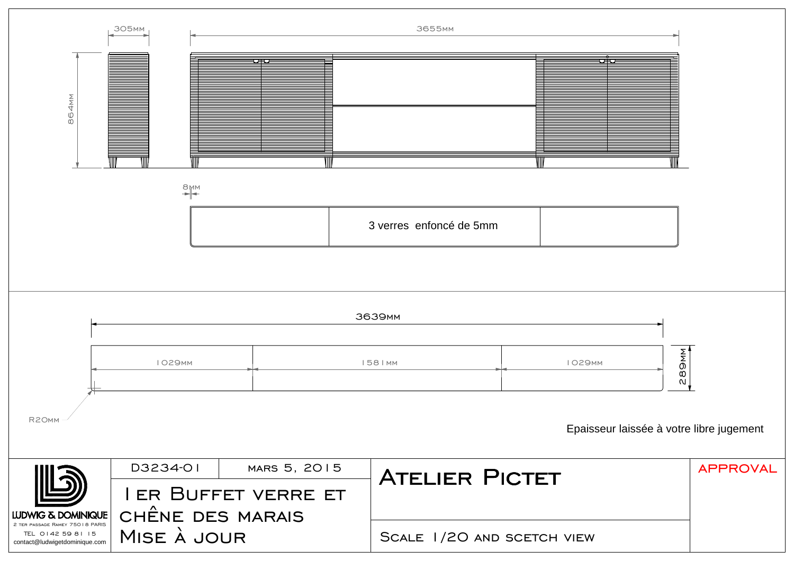